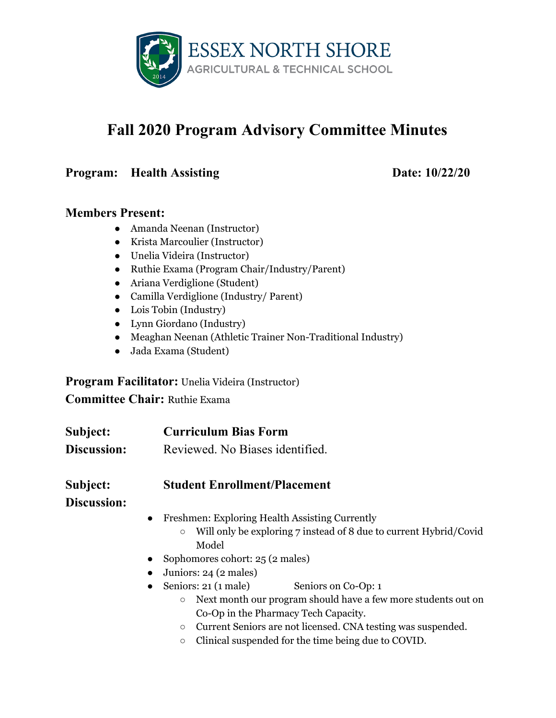

# **Fall 2020 Program Advisory Committee Minutes**

#### **Program: Health Assisting Date: 10/22/20**

#### **Members Present:**

- Amanda Neenan (Instructor)
- Krista Marcoulier (Instructor)
- Unelia Videira (Instructor)
- Ruthie Exama (Program Chair/Industry/Parent)
- Ariana Verdiglione (Student)
- Camilla Verdiglione (Industry/ Parent)
- Lois Tobin (Industry)
- Lynn Giordano (Industry)
- Meaghan Neenan (Athletic Trainer Non-Traditional Industry)
- Jada Exama (Student)

**Program Facilitator:** Unelia Videira (Instructor)

**Committee Chair:** Ruthie Exama

| Subject:           | <b>Curriculum Bias Form</b>                                                              |
|--------------------|------------------------------------------------------------------------------------------|
| <b>Discussion:</b> | Reviewed. No Biases identified.                                                          |
| Subject:           | <b>Student Enrollment/Placement</b>                                                      |
| <b>Discussion:</b> |                                                                                          |
|                    | Freshmen: Exploring Health Assisting Currently<br>$\bullet$                              |
|                    | Will only be exploring 7 instead of 8 due to current Hybrid/Covid<br>$\circlearrowright$ |
|                    | Model                                                                                    |
|                    | Sophomores cohort: 25 (2 males)<br>$\bullet$                                             |
|                    | Juniors: 24 (2 males)<br>$\bullet$                                                       |
|                    | Seniors: 21 (1 male)<br>Seniors on Co-Op: 1<br>$\bullet$                                 |
|                    | Next month our program should have a few more students out on<br>$\circ$                 |
|                    | Co-Op in the Pharmacy Tech Capacity.                                                     |
|                    | Current Seniors are not licensed. CNA testing was suspended.<br>$\circlearrowright$      |
|                    | Clinical suspended for the time being due to COVID.<br>$\circlearrowright$               |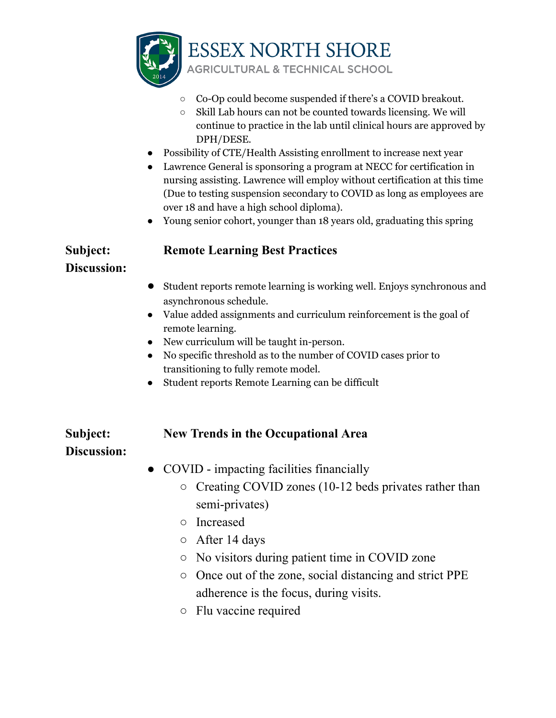

- Co-Op could become suspended if there's a COVID breakout.
- Skill Lab hours can not be counted towards licensing. We will continue to practice in the lab until clinical hours are approved by DPH/DESE.
- Possibility of CTE/Health Assisting enrollment to increase next year
- Lawrence General is sponsoring a program at NECC for certification in nursing assisting. Lawrence will employ without certification at this time (Due to testing suspension secondary to COVID as long as employees are over 18 and have a high school diploma).
- Young senior cohort, younger than 18 years old, graduating this spring

### **Subject: Remote Learning Best Practices**

#### **Discussion:**

- **●** Student reports remote learning is working well. Enjoys synchronous and asynchronous schedule.
- Value added assignments and curriculum reinforcement is the goal of remote learning.
- New curriculum will be taught in-person.
- No specific threshold as to the number of COVID cases prior to transitioning to fully remote model.
- Student reports Remote Learning can be difficult

#### **Subject: New Trends in the Occupational Area**

## **Discussion:**

- COVID impacting facilities financially
	- Creating COVID zones (10-12 beds privates rather than semi-privates)
	- Increased
	- After 14 days
	- No visitors during patient time in COVID zone
	- Once out of the zone, social distancing and strict PPE adherence is the focus, during visits.
	- Flu vaccine required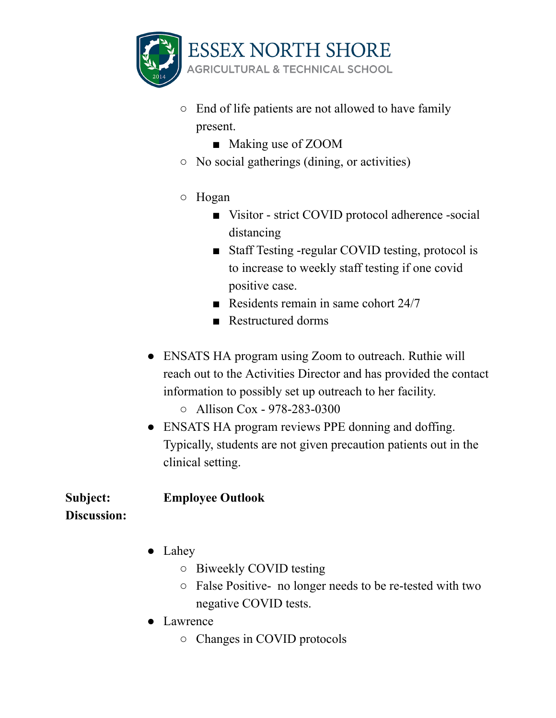

- End of life patients are not allowed to have family present.
	- Making use of ZOOM
- No social gatherings (dining, or activities)
- Hogan
	- Visitor strict COVID protocol adherence -social distancing
	- Staff Testing -regular COVID testing, protocol is to increase to weekly staff testing if one covid positive case.
	- Residents remain in same cohort 24/7
	- Restructured dorms
- ENSATS HA program using Zoom to outreach. Ruthie will reach out to the Activities Director and has provided the contact information to possibly set up outreach to her facility.
	- Allison Cox 978-283-0300
- ENSATS HA program reviews PPE donning and doffing. Typically, students are not given precaution patients out in the clinical setting.

**Subject: Employee Outlook Discussion:**

- Lahey
	- Biweekly COVID testing
	- False Positive- no longer needs to be re-tested with two negative COVID tests.
- Lawrence
	- Changes in COVID protocols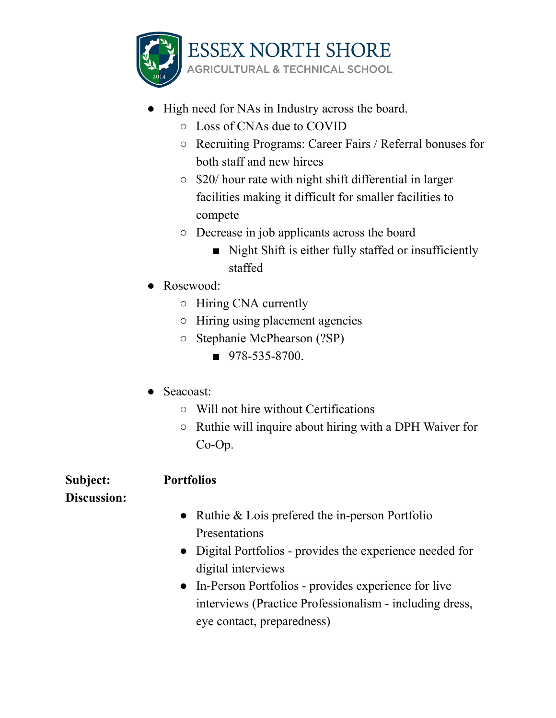

- High need for NAs in Industry across the board.
	- Loss of CNAs due to COVID
	- Recruiting Programs: Career Fairs / Referral bonuses for both staff and new hirees
	- \$20/ hour rate with night shift differential in larger facilities making it difficult for smaller facilities to compete
	- Decrease in job applicants across the board
		- Night Shift is either fully staffed or insufficiently staffed
- Rosewood:
	- Hiring CNA currently
	- Hiring using placement agencies
	- Stephanie McPhearson (?SP)
		- $978 535 8700$ .
- Seacoast:
	- Will not hire without Certifications
	- Ruthie will inquire about hiring with a DPH Waiver for Co-Op.

## **Subject: Portfolios**

## **Discussion:**

- Ruthie & Lois prefered the in-person Portfolio Presentations
- Digital Portfolios provides the experience needed for digital interviews
- In-Person Portfolios provides experience for live interviews (Practice Professionalism - including dress, eye contact, preparedness)